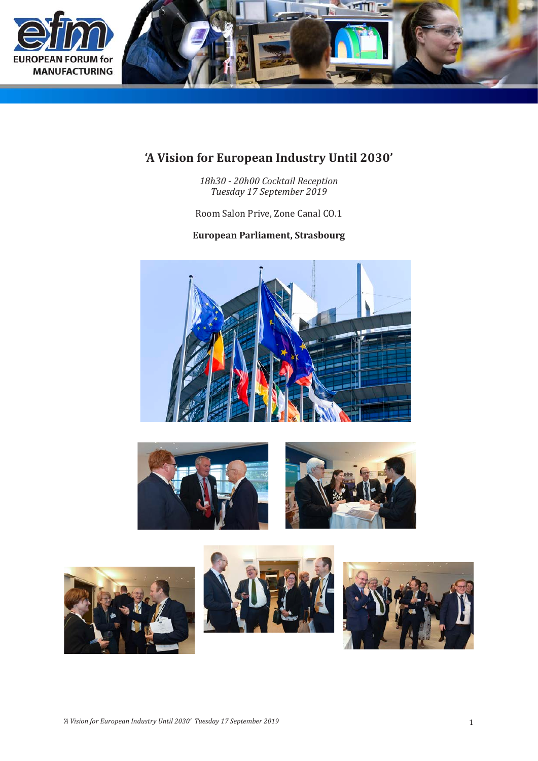

## **'A Vision for European Industry Until 2030'**

*18h30 - 20h00 Cocktail Reception Tuesday 17 September 2019*

Room Salon Prive, Zone Canal CO.1

## **European Parliament, Strasbourg**









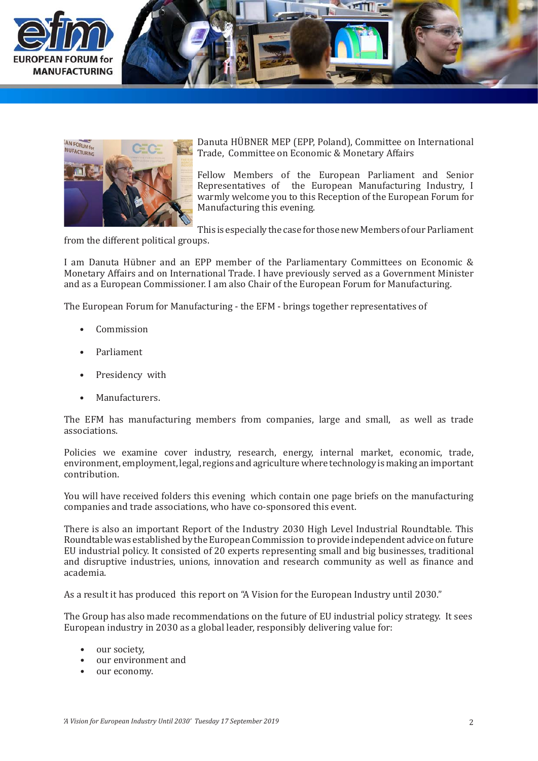





Danuta HÜBNER MEP (EPP, Poland), Committee on International Trade, Committee on Economic & Monetary Affairs

Fellow Members of the European Parliament and Senior Representatives of the European Manufacturing Industry, I warmly welcome you to this Reception of the European Forum for Manufacturing this evening.

This is especially the case for those new Members of our Parliament

from the different political groups.

I am Danuta Hübner and an EPP member of the Parliamentary Committees on Economic & Monetary Affairs and on International Trade. I have previously served as a Government Minister and as a European Commissioner. I am also Chair of the European Forum for Manufacturing.

The European Forum for Manufacturing - the EFM - brings together representatives of

- Commission •
- Parliament •
- Presidency with •
- Manufacturers. •

The EFM has manufacturing members from companies, large and small, as well as trade associations.

Policies we examine cover industry, research, energy, internal market, economic, trade, environment, employment, legal, regions and agriculture where technology is making an important contribution.

You will have received folders this evening which contain one page briefs on the manufacturing companies and trade associations, who have co-sponsored this event.

There is also an important Report of the Industry 2030 High Level Industrial Roundtable. This Roundtable was established by the European Commission to provide independent advice on future EU industrial policy. It consisted of 20 experts representing small and big businesses, traditional and disruptive industries, unions, innovation and research community as well as finance and academia.

As a result it has produced this report on "A Vision for the European Industry until 2030."

The Group has also made recommendations on the future of EU industrial policy strategy. It sees European industry in 2030 as a global leader, responsibly delivering value for:

- our society.
- our environment and<br>• our economy.
- our economy.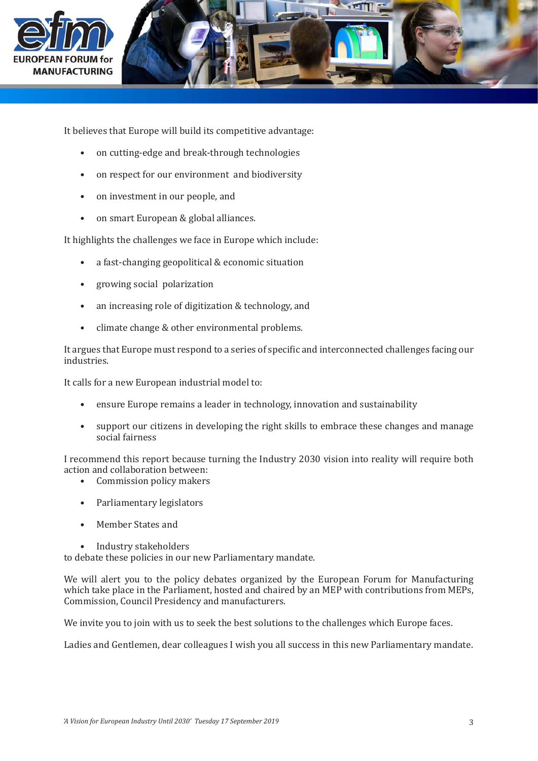



It believes that Europe will build its competitive advantage:

- on cutting-edge and break-through technologies
- on respect for our environment and biodiversity
- on investment in our people, and
- on smart European & global alliances.

It highlights the challenges we face in Europe which include:

- a fast-changing geopolitical & economic situation
- growing social polarization
- an increasing role of digitization & technology, and
- climate change & other environmental problems.

It argues that Europe must respond to a series of specific and interconnected challenges facing our industries.

It calls for a new European industrial model to:

- ensure Europe remains a leader in technology, innovation and sustainability
- support our citizens in developing the right skills to embrace these changes and manage social fairness

I recommend this report because turning the Industry 2030 vision into reality will require both action and collaboration between:

- Commission policy makers
- Parliamentary legislators
- Member States and
- Industry stakeholders

to debate these policies in our new Parliamentary mandate.

We will alert you to the policy debates organized by the European Forum for Manufacturing which take place in the Parliament, hosted and chaired by an MEP with contributions from MEPs, Commission, Council Presidency and manufacturers.

We invite you to join with us to seek the best solutions to the challenges which Europe faces.

Ladies and Gentlemen, dear colleagues I wish you all success in this new Parliamentary mandate.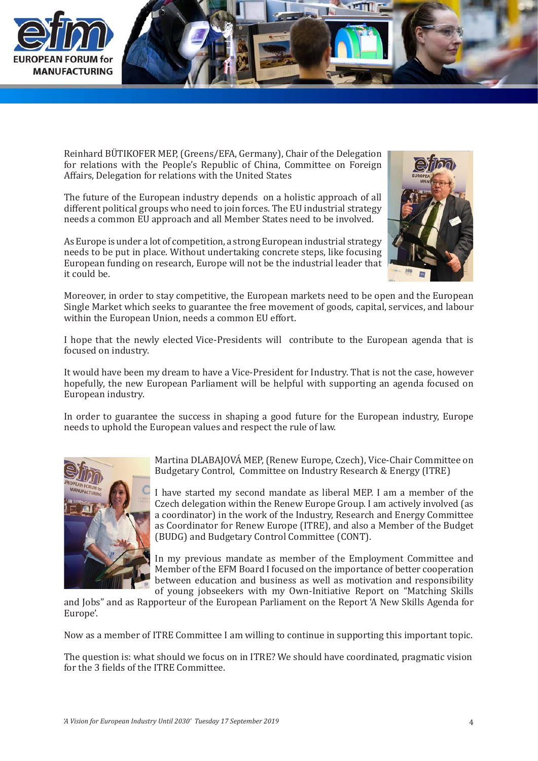

Reinhard BÜTIKOFER MEP, (Greens/EFA, Germany), Chair of the Delegation for relations with the People's Republic of China, Committee on Foreign Affairs, Delegation for relations with the United States

The future of the European industry depends on a holistic approach of all different political groups who need to join forces. The EU industrial strategy needs a common EU approach and all Member States need to be involved.

As Europe is under a lot of competition, a strong European industrial strategy needs to be put in place. Without undertaking concrete steps, like focusing European funding on research, Europe will not be the industrial leader that it could be.



Moreover, in order to stay competitive, the European markets need to be open and the European Single Market which seeks to guarantee the free movement of goods, capital, services, and labour within the European Union, needs a common EU effort.

I hope that the newly elected Vice-Presidents will contribute to the European agenda that is focused on industry.

It would have been my dream to have a Vice-President for Industry. That is not the case, however hopefully, the new European Parliament will be helpful with supporting an agenda focused on European industry.

In order to guarantee the success in shaping a good future for the European industry, Europe needs to uphold the European values and respect the rule of law.



Martina DLABAJOVÁ MEP, (Renew Europe, Czech), Vice-Chair Committee on Budgetary Control, Committee on Industry Research & Energy (ITRE)

I have started my second mandate as liberal MEP. I am a member of the Czech delegation within the Renew Europe Group. I am actively involved (as a coordinator) in the work of the Industry, Research and Energy Committee as Coordinator for Renew Europe (ITRE), and also a Member of the Budget (BUDG) and Budgetary Control Committee (CONT).

In my previous mandate as member of the Employment Committee and Member of the EFM Board I focused on the importance of better cooperation between education and business as well as motivation and responsibility of young jobseekers with my Own-Initiative Report on "Matching Skills

and Jobs" and as Rapporteur of the European Parliament on the Report 'A New Skills Agenda for Europe'.

Now as a member of ITRE Committee I am willing to continue in supporting this important topic.

The question is: what should we focus on in ITRE? We should have coordinated, pragmatic vision for the 3 fields of the ITRE Committee.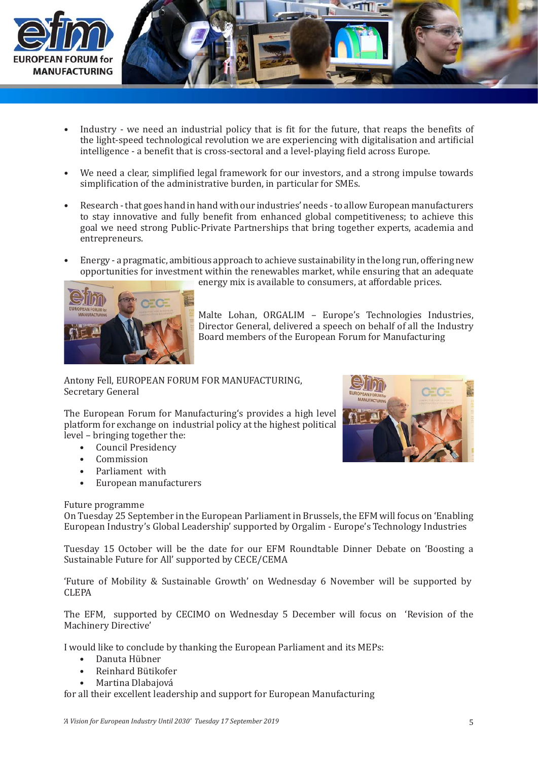

- Industry we need an industrial policy that is fit for the future, that reaps the benefits of the light-speed technological revolution we are experiencing with digitalisation and artificial intelligence - a benefit that is cross-sectoral and a level-playing field across Europe. •
- We need a clear, simplified legal framework for our investors, and a strong impulse towards simplification of the administrative burden, in particular for SMEs. •
- Research that goes hand in hand with our industries' needs to allow European manufacturers to stay innovative and fully benefit from enhanced global competitiveness; to achieve this goal we need strong Public-Private Partnerships that bring together experts, academia and entrepreneurs. •
- Energy a pragmatic, ambitious approach to achieve sustainability in the long run, offering new opportunities for investment within the renewables market, while ensuring that an adequate •



energy mix is available to consumers, at affordable prices.

Malte Lohan, ORGALIM – Europe's Technologies Industries, Director General, delivered a speech on behalf of all the Industry Board members of the European Forum for Manufacturing

Antony Fell, EUROPEAN FORUM FOR MANUFACTURING, Secretary General

The European Forum for Manufacturing's provides a high level platform for exchange on industrial policy at the highest political level – bringing together the:

- Council Presidency
- Commission
- Parliament with •
- European manufacturers •

## Future programme

On Tuesday 25 September in the European Parliament in Brussels, the EFM will focus on 'Enabling European Industry's Global Leadership' supported by Orgalim - Europe's Technology Industries

Tuesday 15 October will be the date for our EFM Roundtable Dinner Debate on 'Boosting a Sustainable Future for All' supported by CECE/CEMA

'Future of Mobility & Sustainable Growth' on Wednesday 6 November will be supported by CLEPA

The EFM, supported by CECIMO on Wednesday 5 December will focus on 'Revision of the Machinery Directive'

I would like to conclude by thanking the European Parliament and its MEPs:

- Danuta Hübner •
- Reinhard Bütikofer •
- Martina Dlabajová •

for all their excellent leadership and support for European Manufacturing